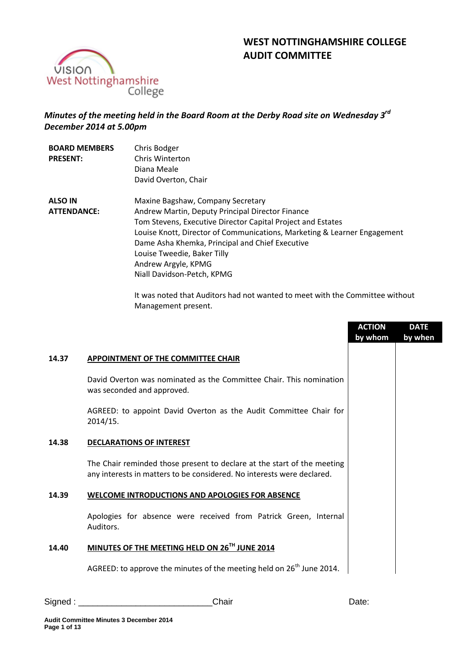# **WEST NOTTINGHAMSHIRE COLLEGE AUDIT COMMITTEE**



## *Minutes of the meeting held in the Board Room at the Derby Road site on Wednesday 3 rd December 2014 at 5.00pm*

| <b>BOARD MEMBERS</b> | Chris Bodger                                                             |
|----------------------|--------------------------------------------------------------------------|
| <b>PRESENT:</b>      | Chris Winterton                                                          |
|                      | Diana Meale                                                              |
|                      | David Overton, Chair                                                     |
| <b>ALSO IN</b>       | Maxine Bagshaw, Company Secretary                                        |
| <b>ATTENDANCE:</b>   | Andrew Martin, Deputy Principal Director Finance                         |
|                      | Tom Stevens, Executive Director Capital Project and Estates              |
|                      | Louise Knott, Director of Communications, Marketing & Learner Engagement |
|                      | Dame Asha Khemka, Principal and Chief Executive                          |
|                      | Louise Tweedie, Baker Tilly                                              |
|                      | Andrew Argyle, KPMG                                                      |
|                      | Niall Davidson-Petch, KPMG                                               |

It was noted that Auditors had not wanted to meet with the Committee without Management present.

|       |                                                                                                                                                   | <b>ACTION</b><br>by whom | <b>DATE</b><br>by when |
|-------|---------------------------------------------------------------------------------------------------------------------------------------------------|--------------------------|------------------------|
| 14.37 | <b>APPOINTMENT OF THE COMMITTEE CHAIR</b>                                                                                                         |                          |                        |
|       | David Overton was nominated as the Committee Chair. This nomination<br>was seconded and approved.                                                 |                          |                        |
|       | AGREED: to appoint David Overton as the Audit Committee Chair for<br>2014/15.                                                                     |                          |                        |
| 14.38 | <b>DECLARATIONS OF INTEREST</b>                                                                                                                   |                          |                        |
|       | The Chair reminded those present to declare at the start of the meeting<br>any interests in matters to be considered. No interests were declared. |                          |                        |
| 14.39 | <b>WELCOME INTRODUCTIONS AND APOLOGIES FOR ABSENCE</b>                                                                                            |                          |                        |
|       | Apologies for absence were received from Patrick Green, Internal<br>Auditors.                                                                     |                          |                        |
| 14.40 | MINUTES OF THE MEETING HELD ON 26TH JUNE 2014                                                                                                     |                          |                        |
|       | AGREED: to approve the minutes of the meeting held on 26 <sup>th</sup> June 2014.                                                                 |                          |                        |
|       |                                                                                                                                                   |                          |                        |

Signed : \_\_\_\_\_\_\_\_\_\_\_\_\_\_\_\_\_\_\_\_\_\_\_\_\_\_\_\_Chair Date: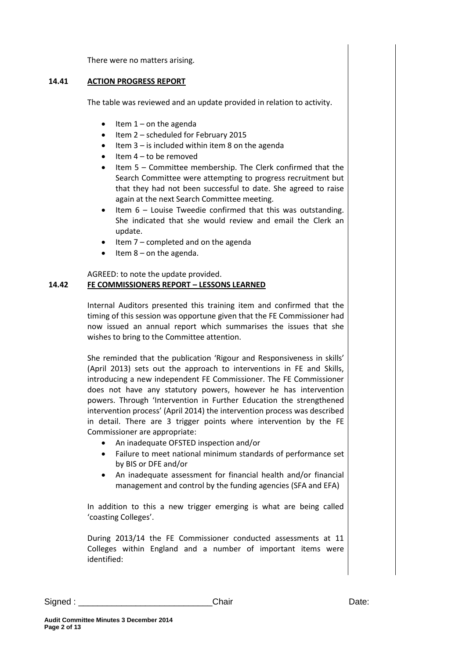There were no matters arising.

#### **14.41 ACTION PROGRESS REPORT**

The table was reviewed and an update provided in relation to activity.

- Item 1 on the agenda
- $\bullet$  Item 2 scheduled for February 2015
- Item 3 is included within item 8 on the agenda
- Item 4 to be removed
- Item 5 Committee membership. The Clerk confirmed that the Search Committee were attempting to progress recruitment but that they had not been successful to date. She agreed to raise again at the next Search Committee meeting.
- Item 6 Louise Tweedie confirmed that this was outstanding. She indicated that she would review and email the Clerk an update.
- Item 7 completed and on the agenda
- Item 8 on the agenda.

## AGREED: to note the update provided.

## **14.42 FE COMMISSIONERS REPORT – LESSONS LEARNED**

Internal Auditors presented this training item and confirmed that the timing of this session was opportune given that the FE Commissioner had now issued an annual report which summarises the issues that she wishes to bring to the Committee attention.

She reminded that the publication 'Rigour and Responsiveness in skills' (April 2013) sets out the approach to interventions in FE and Skills, introducing a new independent FE Commissioner. The FE Commissioner does not have any statutory powers, however he has intervention powers. Through 'Intervention in Further Education the strengthened intervention process' (April 2014) the intervention process was described in detail. There are 3 trigger points where intervention by the FE Commissioner are appropriate:

- An inadequate OFSTED inspection and/or
- Failure to meet national minimum standards of performance set by BIS or DFE and/or
- An inadequate assessment for financial health and/or financial management and control by the funding agencies (SFA and EFA)

In addition to this a new trigger emerging is what are being called 'coasting Colleges'.

During 2013/14 the FE Commissioner conducted assessments at 11 Colleges within England and a number of important items were identified: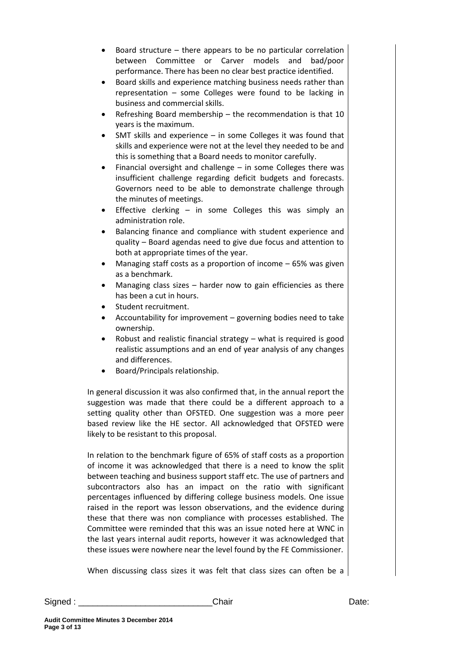- Board structure there appears to be no particular correlation between Committee or Carver models and bad/poor performance. There has been no clear best practice identified.
- Board skills and experience matching business needs rather than representation – some Colleges were found to be lacking in business and commercial skills.
- Refreshing Board membership the recommendation is that 10 years is the maximum.
- SMT skills and experience in some Colleges it was found that skills and experience were not at the level they needed to be and this is something that a Board needs to monitor carefully.
- Financial oversight and challenge in some Colleges there was insufficient challenge regarding deficit budgets and forecasts. Governors need to be able to demonstrate challenge through the minutes of meetings.
- Effective clerking in some Colleges this was simply an administration role.
- Balancing finance and compliance with student experience and quality – Board agendas need to give due focus and attention to both at appropriate times of the year.
- Managing staff costs as a proportion of income 65% was given as a benchmark.
- Managing class sizes harder now to gain efficiencies as there has been a cut in hours.
- Student recruitment.
- Accountability for improvement governing bodies need to take ownership.
- Robust and realistic financial strategy what is required is good realistic assumptions and an end of year analysis of any changes and differences.
- Board/Principals relationship.

In general discussion it was also confirmed that, in the annual report the suggestion was made that there could be a different approach to a setting quality other than OFSTED. One suggestion was a more peer based review like the HE sector. All acknowledged that OFSTED were likely to be resistant to this proposal.

In relation to the benchmark figure of 65% of staff costs as a proportion of income it was acknowledged that there is a need to know the split between teaching and business support staff etc. The use of partners and subcontractors also has an impact on the ratio with significant percentages influenced by differing college business models. One issue raised in the report was lesson observations, and the evidence during these that there was non compliance with processes established. The Committee were reminded that this was an issue noted here at WNC in the last years internal audit reports, however it was acknowledged that these issues were nowhere near the level found by the FE Commissioner.

When discussing class sizes it was felt that class sizes can often be a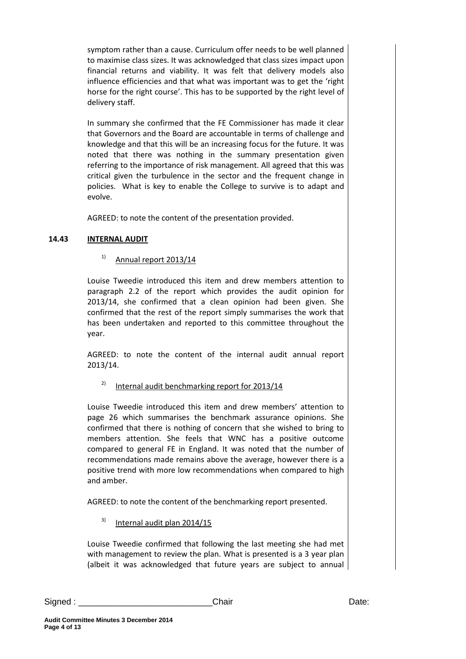symptom rather than a cause. Curriculum offer needs to be well planned to maximise class sizes. It was acknowledged that class sizes impact upon financial returns and viability. It was felt that delivery models also influence efficiencies and that what was important was to get the 'right horse for the right course'. This has to be supported by the right level of delivery staff.

In summary she confirmed that the FE Commissioner has made it clear that Governors and the Board are accountable in terms of challenge and knowledge and that this will be an increasing focus for the future. It was noted that there was nothing in the summary presentation given referring to the importance of risk management. All agreed that this was critical given the turbulence in the sector and the frequent change in policies. What is key to enable the College to survive is to adapt and evolve.

AGREED: to note the content of the presentation provided.

## **14.43 INTERNAL AUDIT**

## $1)$  Annual report 2013/14

Louise Tweedie introduced this item and drew members attention to paragraph 2.2 of the report which provides the audit opinion for 2013/14, she confirmed that a clean opinion had been given. She confirmed that the rest of the report simply summarises the work that has been undertaken and reported to this committee throughout the year.

AGREED: to note the content of the internal audit annual report 2013/14.

### <sup>2)</sup> Internal audit benchmarking report for 2013/14

Louise Tweedie introduced this item and drew members' attention to page 26 which summarises the benchmark assurance opinions. She confirmed that there is nothing of concern that she wished to bring to members attention. She feels that WNC has a positive outcome compared to general FE in England. It was noted that the number of recommendations made remains above the average, however there is a positive trend with more low recommendations when compared to high and amber.

AGREED: to note the content of the benchmarking report presented.

 $3)$  Internal audit plan 2014/15

Louise Tweedie confirmed that following the last meeting she had met with management to review the plan. What is presented is a 3 year plan (albeit it was acknowledged that future years are subject to annual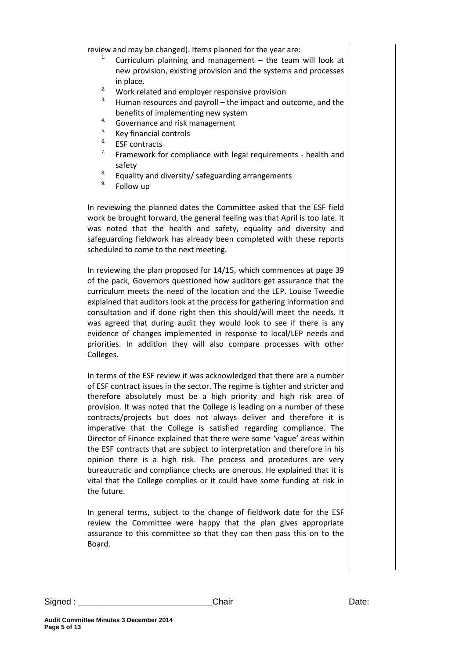review and may be changed). Items planned for the year are:

- <sup>1.</sup> Curriculum planning and management  $-$  the team will look at new provision, existing provision and the systems and processes in place.
- <sup>2.</sup> Work related and employer responsive provision  $\frac{3}{2}$ . Hypergeneous card power that the impact and as
- Human resources and payroll the impact and outcome, and the benefits of implementing new system
- $4.$  Governance and risk management
- $5.$  Key financial controls
- $5<sup>6</sup>$  ESF contracts
- Framework for compliance with legal requirements health and safety
- <sup>8.</sup> Equality and diversity/ safeguarding arrangements
- Follow up

In reviewing the planned dates the Committee asked that the ESF field work be brought forward, the general feeling was that April is too late. It was noted that the health and safety, equality and diversity and safeguarding fieldwork has already been completed with these reports scheduled to come to the next meeting.

In reviewing the plan proposed for 14/15, which commences at page 39 of the pack, Governors questioned how auditors get assurance that the curriculum meets the need of the location and the LEP. Louise Tweedie explained that auditors look at the process for gathering information and consultation and if done right then this should/will meet the needs. It was agreed that during audit they would look to see if there is any evidence of changes implemented in response to local/LEP needs and priorities. In addition they will also compare processes with other Colleges.

In terms of the ESF review it was acknowledged that there are a number of ESF contract issues in the sector. The regime is tighter and stricter and therefore absolutely must be a high priority and high risk area of provision. It was noted that the College is leading on a number of these contracts/projects but does not always deliver and therefore it is imperative that the College is satisfied regarding compliance. The Director of Finance explained that there were some 'vague' areas within the ESF contracts that are subject to interpretation and therefore in his opinion there is a high risk. The process and procedures are very bureaucratic and compliance checks are onerous. He explained that it is vital that the College complies or it could have some funding at risk in the future.

In general terms, subject to the change of fieldwork date for the ESF review the Committee were happy that the plan gives appropriate assurance to this committee so that they can then pass this on to the Board.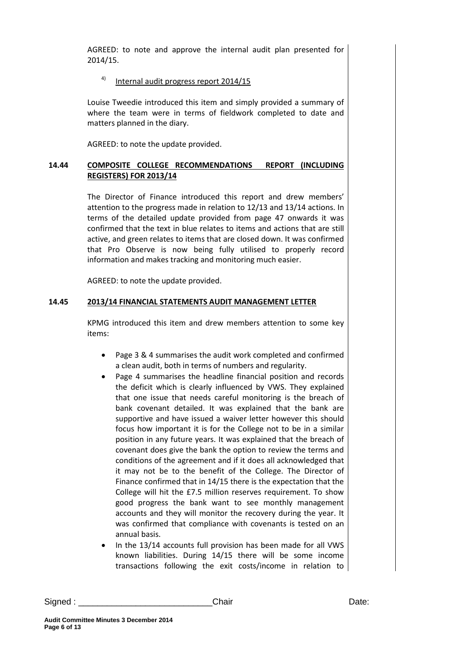AGREED: to note and approve the internal audit plan presented for 2014/15.

## 4) Internal audit progress report 2014/15

Louise Tweedie introduced this item and simply provided a summary of where the team were in terms of fieldwork completed to date and matters planned in the diary.

AGREED: to note the update provided.

### **14.44 COMPOSITE COLLEGE RECOMMENDATIONS REPORT (INCLUDING REGISTERS) FOR 2013/14**

The Director of Finance introduced this report and drew members' attention to the progress made in relation to 12/13 and 13/14 actions. In terms of the detailed update provided from page 47 onwards it was confirmed that the text in blue relates to items and actions that are still active, and green relates to items that are closed down. It was confirmed that Pro Observe is now being fully utilised to properly record information and makes tracking and monitoring much easier.

AGREED: to note the update provided.

### **14.45 2013/14 FINANCIAL STATEMENTS AUDIT MANAGEMENT LETTER**

KPMG introduced this item and drew members attention to some key items:

- Page 3 & 4 summarises the audit work completed and confirmed a clean audit, both in terms of numbers and regularity.
- Page 4 summarises the headline financial position and records the deficit which is clearly influenced by VWS. They explained that one issue that needs careful monitoring is the breach of bank covenant detailed. It was explained that the bank are supportive and have issued a waiver letter however this should focus how important it is for the College not to be in a similar position in any future years. It was explained that the breach of covenant does give the bank the option to review the terms and conditions of the agreement and if it does all acknowledged that it may not be to the benefit of the College. The Director of Finance confirmed that in 14/15 there is the expectation that the College will hit the £7.5 million reserves requirement. To show good progress the bank want to see monthly management accounts and they will monitor the recovery during the year. It was confirmed that compliance with covenants is tested on an annual basis.
- In the 13/14 accounts full provision has been made for all VWS known liabilities. During 14/15 there will be some income transactions following the exit costs/income in relation to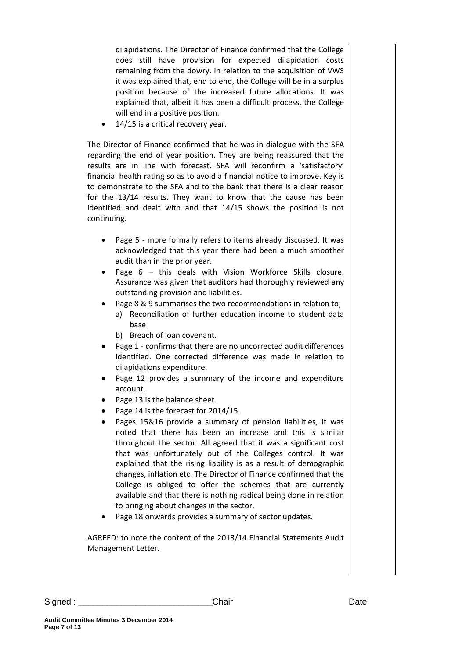dilapidations. The Director of Finance confirmed that the College does still have provision for expected dilapidation costs remaining from the dowry. In relation to the acquisition of VWS it was explained that, end to end, the College will be in a surplus position because of the increased future allocations. It was explained that, albeit it has been a difficult process, the College will end in a positive position.

14/15 is a critical recovery year.

The Director of Finance confirmed that he was in dialogue with the SFA regarding the end of year position. They are being reassured that the results are in line with forecast. SFA will reconfirm a 'satisfactory' financial health rating so as to avoid a financial notice to improve. Key is to demonstrate to the SFA and to the bank that there is a clear reason for the 13/14 results. They want to know that the cause has been identified and dealt with and that 14/15 shows the position is not continuing.

- Page 5 more formally refers to items already discussed. It was acknowledged that this year there had been a much smoother audit than in the prior year.
- Page 6 this deals with Vision Workforce Skills closure. Assurance was given that auditors had thoroughly reviewed any outstanding provision and liabilities.
- Page 8 & 9 summarises the two recommendations in relation to; a) Reconciliation of further education income to student data base
	- b) Breach of loan covenant.
- Page 1 confirms that there are no uncorrected audit differences identified. One corrected difference was made in relation to dilapidations expenditure.
- Page 12 provides a summary of the income and expenditure account.
- Page 13 is the balance sheet.
- Page 14 is the forecast for 2014/15.
- Pages 15&16 provide a summary of pension liabilities, it was noted that there has been an increase and this is similar throughout the sector. All agreed that it was a significant cost that was unfortunately out of the Colleges control. It was explained that the rising liability is as a result of demographic changes, inflation etc. The Director of Finance confirmed that the College is obliged to offer the schemes that are currently available and that there is nothing radical being done in relation to bringing about changes in the sector.
- Page 18 onwards provides a summary of sector updates.

AGREED: to note the content of the 2013/14 Financial Statements Audit Management Letter.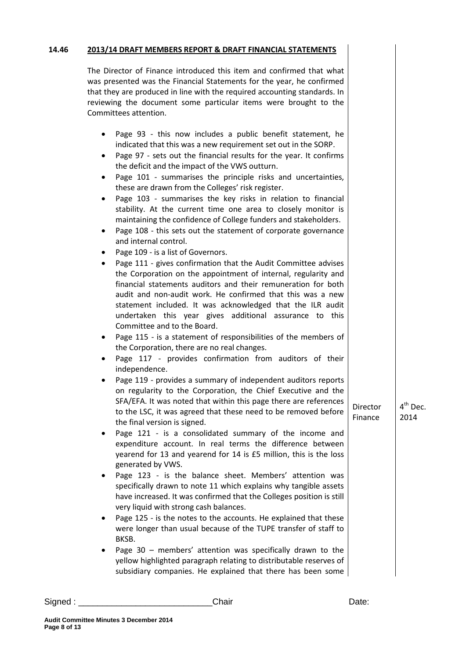#### **14.46 2013/14 DRAFT MEMBERS REPORT & DRAFT FINANCIAL STATEMENTS**

The Director of Finance introduced this item and confirmed that what was presented was the Financial Statements for the year, he confirmed that they are produced in line with the required accounting standards. In reviewing the document some particular items were brought to the Committees attention.

- Page 93 this now includes a public benefit statement, he indicated that this was a new requirement set out in the SORP.
- Page 97 sets out the financial results for the year. It confirms the deficit and the impact of the VWS outturn.
- Page 101 summarises the principle risks and uncertainties, these are drawn from the Colleges' risk register.
- Page 103 summarises the key risks in relation to financial stability. At the current time one area to closely monitor is maintaining the confidence of College funders and stakeholders.
- Page 108 this sets out the statement of corporate governance and internal control.
- Page 109 is a list of Governors.
- Page 111 gives confirmation that the Audit Committee advises the Corporation on the appointment of internal, regularity and financial statements auditors and their remuneration for both audit and non-audit work. He confirmed that this was a new statement included. It was acknowledged that the ILR audit undertaken this year gives additional assurance to this Committee and to the Board.
- Page 115 is a statement of responsibilities of the members of the Corporation, there are no real changes.
- Page 117 provides confirmation from auditors of their independence.
- Page 119 provides a summary of independent auditors reports on regularity to the Corporation, the Chief Executive and the SFA/EFA. It was noted that within this page there are references to the LSC, it was agreed that these need to be removed before the final version is signed.
- Page 121 is a consolidated summary of the income and expenditure account. In real terms the difference between yearend for 13 and yearend for 14 is £5 million, this is the loss generated by VWS.
- Page 123 is the balance sheet. Members' attention was specifically drawn to note 11 which explains why tangible assets have increased. It was confirmed that the Colleges position is still very liquid with strong cash balances.
- Page 125 is the notes to the accounts. He explained that these were longer than usual because of the TUPE transfer of staff to BKSB.
- Page 30 members' attention was specifically drawn to the yellow highlighted paragraph relating to distributable reserves of subsidiary companies. He explained that there has been some

**Director** Finance

4<sup>th</sup> Dec. 2014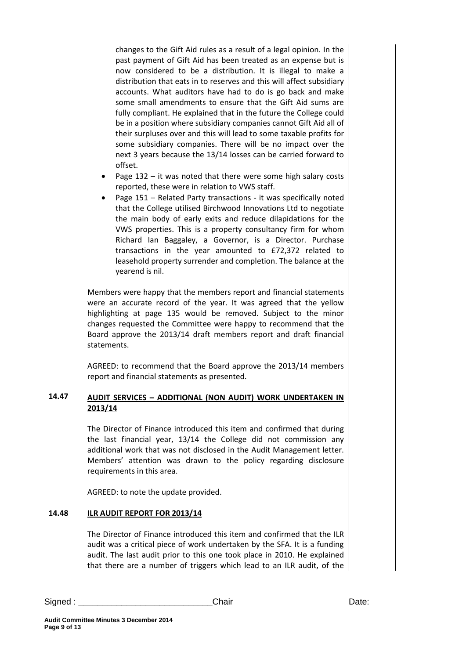changes to the Gift Aid rules as a result of a legal opinion. In the past payment of Gift Aid has been treated as an expense but is now considered to be a distribution. It is illegal to make a distribution that eats in to reserves and this will affect subsidiary accounts. What auditors have had to do is go back and make some small amendments to ensure that the Gift Aid sums are fully compliant. He explained that in the future the College could be in a position where subsidiary companies cannot Gift Aid all of their surpluses over and this will lead to some taxable profits for some subsidiary companies. There will be no impact over the next 3 years because the 13/14 losses can be carried forward to offset.

- Page 132 it was noted that there were some high salary costs reported, these were in relation to VWS staff.
- Page 151 Related Party transactions it was specifically noted that the College utilised Birchwood Innovations Ltd to negotiate the main body of early exits and reduce dilapidations for the VWS properties. This is a property consultancy firm for whom Richard Ian Baggaley, a Governor, is a Director. Purchase transactions in the year amounted to £72,372 related to leasehold property surrender and completion. The balance at the yearend is nil.

Members were happy that the members report and financial statements were an accurate record of the year. It was agreed that the yellow highlighting at page 135 would be removed. Subject to the minor changes requested the Committee were happy to recommend that the Board approve the 2013/14 draft members report and draft financial statements.

AGREED: to recommend that the Board approve the 2013/14 members report and financial statements as presented.

#### **14.47 AUDIT SERVICES – ADDITIONAL (NON AUDIT) WORK UNDERTAKEN IN 2013/14**

The Director of Finance introduced this item and confirmed that during the last financial year, 13/14 the College did not commission any additional work that was not disclosed in the Audit Management letter. Members' attention was drawn to the policy regarding disclosure requirements in this area.

AGREED: to note the update provided.

#### **14.48 ILR AUDIT REPORT FOR 2013/14**

The Director of Finance introduced this item and confirmed that the ILR audit was a critical piece of work undertaken by the SFA. It is a funding audit. The last audit prior to this one took place in 2010. He explained that there are a number of triggers which lead to an ILR audit, of the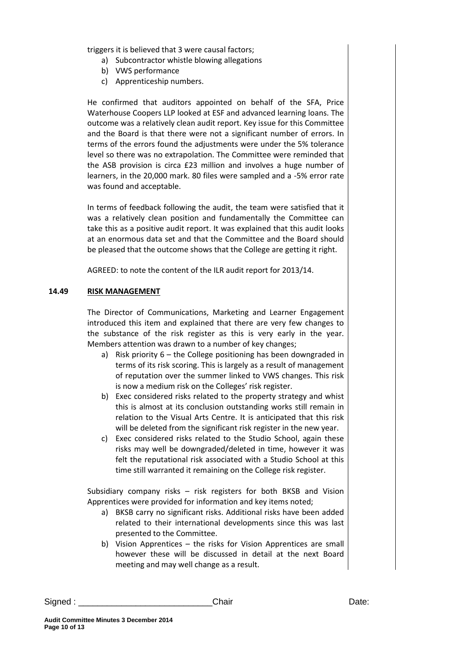triggers it is believed that 3 were causal factors;

- a) Subcontractor whistle blowing allegations
- b) VWS performance
- c) Apprenticeship numbers.

He confirmed that auditors appointed on behalf of the SFA, Price Waterhouse Coopers LLP looked at ESF and advanced learning loans. The outcome was a relatively clean audit report. Key issue for this Committee and the Board is that there were not a significant number of errors. In terms of the errors found the adjustments were under the 5% tolerance level so there was no extrapolation. The Committee were reminded that the ASB provision is circa £23 million and involves a huge number of learners, in the 20,000 mark. 80 files were sampled and a -5% error rate was found and acceptable.

In terms of feedback following the audit, the team were satisfied that it was a relatively clean position and fundamentally the Committee can take this as a positive audit report. It was explained that this audit looks at an enormous data set and that the Committee and the Board should be pleased that the outcome shows that the College are getting it right.

AGREED: to note the content of the ILR audit report for 2013/14.

### **14.49 RISK MANAGEMENT**

The Director of Communications, Marketing and Learner Engagement introduced this item and explained that there are very few changes to the substance of the risk register as this is very early in the year. Members attention was drawn to a number of key changes;

- a) Risk priority 6 the College positioning has been downgraded in terms of its risk scoring. This is largely as a result of management of reputation over the summer linked to VWS changes. This risk is now a medium risk on the Colleges' risk register.
- b) Exec considered risks related to the property strategy and whist this is almost at its conclusion outstanding works still remain in relation to the Visual Arts Centre. It is anticipated that this risk will be deleted from the significant risk register in the new year.
- c) Exec considered risks related to the Studio School, again these risks may well be downgraded/deleted in time, however it was felt the reputational risk associated with a Studio School at this time still warranted it remaining on the College risk register.

Subsidiary company risks – risk registers for both BKSB and Vision Apprentices were provided for information and key items noted;

- a) BKSB carry no significant risks. Additional risks have been added related to their international developments since this was last presented to the Committee.
- b) Vision Apprentices the risks for Vision Apprentices are small however these will be discussed in detail at the next Board meeting and may well change as a result.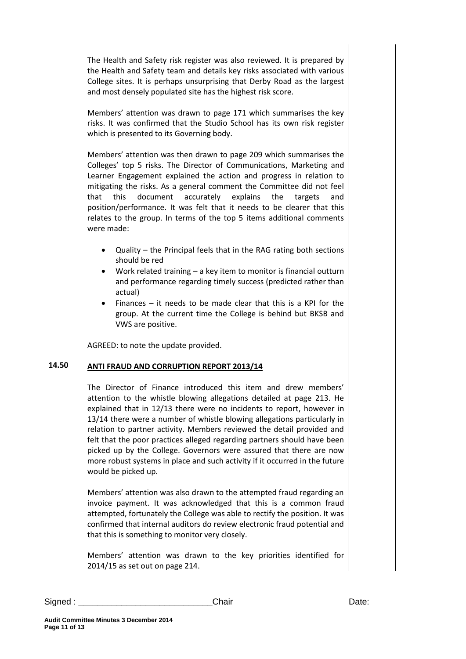The Health and Safety risk register was also reviewed. It is prepared by the Health and Safety team and details key risks associated with various College sites. It is perhaps unsurprising that Derby Road as the largest and most densely populated site has the highest risk score.

Members' attention was drawn to page 171 which summarises the key risks. It was confirmed that the Studio School has its own risk register which is presented to its Governing body.

Members' attention was then drawn to page 209 which summarises the Colleges' top 5 risks. The Director of Communications, Marketing and Learner Engagement explained the action and progress in relation to mitigating the risks. As a general comment the Committee did not feel that this document accurately explains the targets and position/performance. It was felt that it needs to be clearer that this relates to the group. In terms of the top 5 items additional comments were made:

- Quality the Principal feels that in the RAG rating both sections should be red
- Work related training a key item to monitor is financial outturn and performance regarding timely success (predicted rather than actual)
- $\bullet$  Finances it needs to be made clear that this is a KPI for the group. At the current time the College is behind but BKSB and VWS are positive.

AGREED: to note the update provided.

#### **14.50 ANTI FRAUD AND CORRUPTION REPORT 2013/14**

The Director of Finance introduced this item and drew members' attention to the whistle blowing allegations detailed at page 213. He explained that in 12/13 there were no incidents to report, however in 13/14 there were a number of whistle blowing allegations particularly in relation to partner activity. Members reviewed the detail provided and felt that the poor practices alleged regarding partners should have been picked up by the College. Governors were assured that there are now more robust systems in place and such activity if it occurred in the future would be picked up.

Members' attention was also drawn to the attempted fraud regarding an invoice payment. It was acknowledged that this is a common fraud attempted, fortunately the College was able to rectify the position. It was confirmed that internal auditors do review electronic fraud potential and that this is something to monitor very closely.

Members' attention was drawn to the key priorities identified for 2014/15 as set out on page 214.

Signed : \_\_\_\_\_\_\_\_\_\_\_\_\_\_\_\_\_\_\_\_\_\_\_\_\_\_\_\_Chair Date: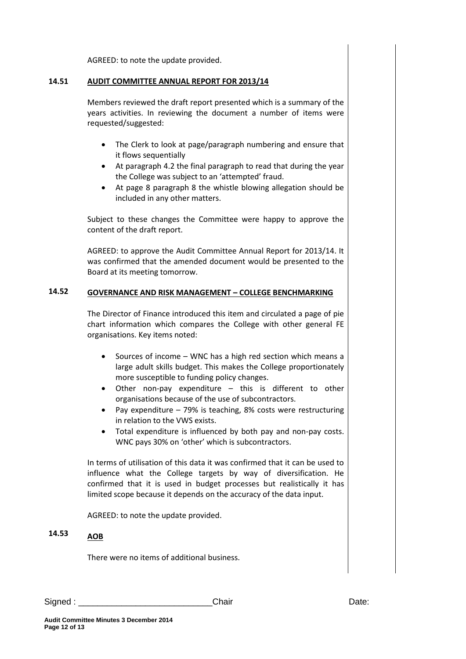AGREED: to note the update provided.

#### **14.51 AUDIT COMMITTEE ANNUAL REPORT FOR 2013/14**

Members reviewed the draft report presented which is a summary of the years activities. In reviewing the document a number of items were requested/suggested:

- The Clerk to look at page/paragraph numbering and ensure that it flows sequentially
- At paragraph 4.2 the final paragraph to read that during the year the College was subject to an 'attempted' fraud.
- At page 8 paragraph 8 the whistle blowing allegation should be included in any other matters.

Subject to these changes the Committee were happy to approve the content of the draft report.

AGREED: to approve the Audit Committee Annual Report for 2013/14. It was confirmed that the amended document would be presented to the Board at its meeting tomorrow.

#### **14.52 GOVERNANCE AND RISK MANAGEMENT – COLLEGE BENCHMARKING**

The Director of Finance introduced this item and circulated a page of pie chart information which compares the College with other general FE organisations. Key items noted:

- Sources of income WNC has a high red section which means a large adult skills budget. This makes the College proportionately more susceptible to funding policy changes.
- Other non-pay expenditure this is different to other organisations because of the use of subcontractors.
- Pay expenditure  $-79\%$  is teaching, 8% costs were restructuring in relation to the VWS exists.
- Total expenditure is influenced by both pay and non-pay costs. WNC pays 30% on 'other' which is subcontractors.

In terms of utilisation of this data it was confirmed that it can be used to influence what the College targets by way of diversification. He confirmed that it is used in budget processes but realistically it has limited scope because it depends on the accuracy of the data input.

AGREED: to note the update provided.

#### **14.53 AOB**

There were no items of additional business.